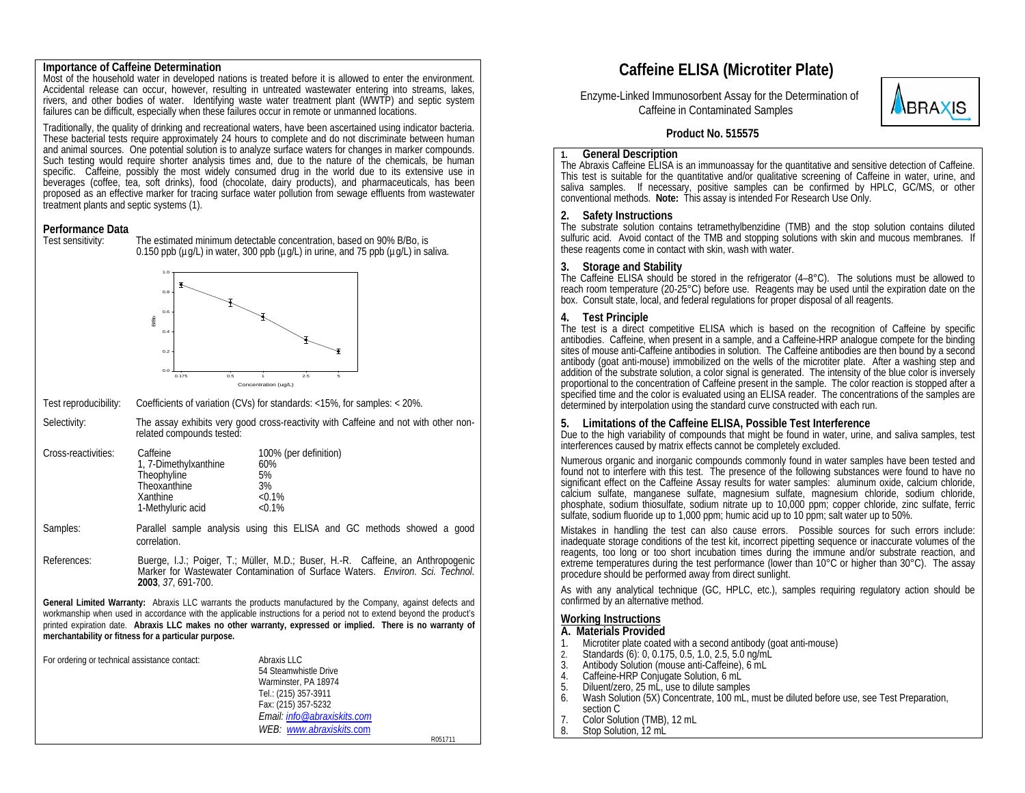### **Importance of Caffeine Determination**

Most of the household water in developed nations is treated before it is allowed to enter the environment.<br>Accidental release can occur, however, resulting in untreated wastewater entering into streams, lakes, rivers, and other bodies of water. Identifying waste water treatment plant (WWTP) and septic system failures can be difficult, especially when these failures occur in remote or unmanned locations.

Traditionally, the quality of drinking and recreational waters, have been ascertained using indicator bacteria. These bacterial tests require approximately 24 hours to complete and do not discriminate between human and animal sources. One potential solution is to analyze surface waters for changes in marker compounds. Such testing would require shorter analysis times and, due to the nature of the chemicals, be human specific. Caffeine, possibly the most widely consumed drug in the world due to its extensive use in beverages (coffee, tea, soft drinks), food (chocolate, dairy products), and pharmaceuticals, has been proposed as an effective marker for tracing surface water pollution from sewage effluents from wastewater treatment plants and septic systems (1).

### **Performance Data**



Test sensitivity: The estimated minimum detectable concentration, based on 90% B/Bo, is

Test reproducibility: Coefficients of variation (CVs) for standards: <15%, for samples: < 20%.

Selectivity: The assay exhibits very good cross-reactivity with Caffeine and not with other nonrelated compounds tested:

| Cross-reactivities: | Caffeine              | 100% (per definition) |
|---------------------|-----------------------|-----------------------|
|                     | 1, 7-Dimethylxanthine | 60%                   |
|                     | Theophyline           | 5%                    |
|                     | Theoxanthine          | 3%                    |
|                     | Xanthine              | $< 0.1\%$             |
|                     | 1-Methyluric acid     | $< 0.1\%$             |
|                     |                       |                       |

- Samples: Parallel sample analysis using this ELISA and GC methods showed a good correlation.
- References: Buerge, I.J.; Poiger, T.; Müller, M.D.; Buser, H.-R. Caffeine, an Anthropogenic Marker for Wastewater Contamination of Surface Waters. *Environ. Sci. Technol.* **2003**, *37*, 691-700.

**General Limited Warranty:** Abraxis LLC warrants the products manufactured by the Company, against defects and workmanship when used in accordance with the applicable instructions for a period not to extend beyond the product's printed expiration date. **Abraxis LLC makes no other warranty, expressed or implied. There is no warranty of merchantability or fitness for a particular purpose.** 

| For ordering or technical assistance contact: | Abraxis LLC<br>54 Steamwhistle Drive<br>Warminster, PA 18974<br>Tel.: (215) 357-3911<br>Fax: (215) 357-5232<br>Email: info@abraxiskits.com<br>WEB: www.abraxiskits.com |         |
|-----------------------------------------------|------------------------------------------------------------------------------------------------------------------------------------------------------------------------|---------|
|                                               |                                                                                                                                                                        | R051711 |

# **Caffeine ELISA (Microtiter Plate)**

 Enzyme-Linked Immunosorbent Assay for the Determination of Caffeine in Contaminated Samples



## **Product No. 515575**

### **General Description**

**1.**

The Abraxis Caffeine ELISA is an immunoassay for the quantitative and sensitive detection of Caffeine. This test is suitable for the quantitative and/or qualitative screening of Caffeine in water, urine, and saliva samples. If necessary, positive samples can be confirmed by HPLC, GC/MS, or other conventional methods. **Note:** This assay is intended For Research Use Only.

### **2. Safety Instructions**

The substrate solution contains tetramethylbenzidine (TMB) and the stop solution contains diluted sulfuric acid. Avoid contact of the TMB and stopping solutions with skin and mucous membranes. If these reagents come in contact with skin, wash with water.

### **3.**

The Caffeine ELISA should be stored in the refrigerator  $(4-8^{\circ}C)$ . The solutions must be allowed to reach room temperature (20-25 $^{\circ}$ C) before use. Reagents may be used until the expiration date on the box. Consult state, local, and federal regulations for proper disposal of all reagents.

# **4. Test Principle**

The test is a direct competitive ELISA which is based on the recognition of Caffeine by specific antibodies. Caffeine, when present in a sample, and a Caffeine-HRP analogue compete for the binding sites of mouse anti-Caffeine antibodies in solution. The Caffeine antibodies are then bound by a second antibody (goat anti-mouse) immobilized on the wells of the microtiter plate. After a washing step and addition of the substrate solution, a color signal is generated. The intensity of the blue color is inversely proportional to the concentration of Caffeine present in the sample. The color reaction is stopped after a specified time and the color is evaluated using an ELISA reader. The concentrations of the samples are determined by interpolation using the standard curve constructed with each run.

### **5. Limitations of the Caffeine ELISA, Possible Test Interference**

Due to the high variability of compounds that might be found in water, urine, and saliva samples, test interferences caused by matrix effects cannot be completely excluded.

Numerous organic and inorganic compounds commonly found in water samples have been tested and found not to interfere with this test. The presence of the following substances were found to have no significant effect on the Caffeine Assay results for water samples: aluminum oxide, calcium chloride, calcium sulfate, manganese sulfate, magnesium sulfate, magnesium chloride, sodium chloride, phosphate, sodium thiosulfate, sodium nitrate up to 10,000 ppm; copper chloride, zinc sulfate, ferric sulfate, sodium fluoride up to 1,000 ppm; humic acid up to 10 ppm; salt water up to 50%.

Mistakes in handling the test can also cause errors. Possible sources for such errors include: inadequate storage conditions of the test kit, incorrect pipetting sequence or inaccurate volumes of the reagents, too long or too short incubation times during the immune and/or substrate reaction, and extreme temperatures during the test performance (lower than 10 $\degree$ C or higher than 30 $\degree$ C). The assay procedure should be performed away from direct sunlight.

As with any analytical technique (GC, HPLC, etc.), samples requiring regulatory action should be confirmed by an alternative method.

### **Working Instructions**

### **A. Materials Provided**

- 1. Microtiter plate coated with a second antibody (goat anti-mouse)
- 2.2. Standards (6): 0, 0.175, 0.5, 1.0, 2.5, 5.0 ng/mL<br>3. Antibody Solution (mouse anti-Caffeine), 6 mL<br>4. Caffeine-HRP Conjugate Solution. 6 ml
- 
- 4. Caffeine-HRP Conjugate Solution, 6 mL<br>5. Diluent/zero, 25 mL, use to dilute sample
- 5. Diluent/zero, 25 mL, use to dilute samples
- 6. Wash Solution (5X) Concentrate, 100 mL, must be diluted before use, see Test Preparation, section C
- Color Solution (TMB), 12 mL 7.
- 8.Stop Solution, 12 mL